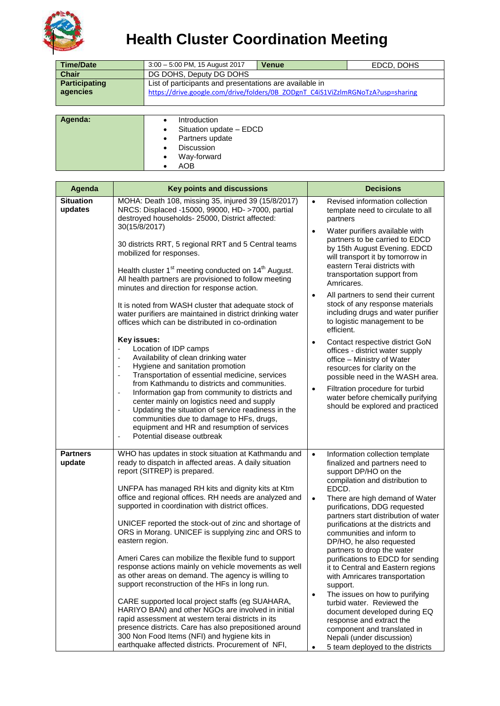

## **Health Cluster Coordination Meeting**

| <b>Time/Date</b>                 | $3:00 - 5:00$ PM, 15 August 2017                                                                                                           | <b>Venue</b> | EDCD, DOHS |  |  |
|----------------------------------|--------------------------------------------------------------------------------------------------------------------------------------------|--------------|------------|--|--|
| <b>Chair</b>                     | DG DOHS, Deputy DG DOHS                                                                                                                    |              |            |  |  |
| <b>Participating</b><br>agencies | List of participants and presentations are available in<br>https://drive.google.com/drive/folders/0B ZODgnT C4iS1ViZzlmRGNoTzA?usp=sharing |              |            |  |  |
|                                  |                                                                                                                                            |              |            |  |  |
| Agenda:                          | <b>Introduction</b><br>Chathan include FDOD                                                                                                |              |            |  |  |

| ______ |                              |  |
|--------|------------------------------|--|
|        | Situation update - EDCD      |  |
|        | Partners update<br>$\bullet$ |  |
|        | <b>Discussion</b>            |  |
|        | Way-forward<br>٠             |  |
|        | <b>AOB</b>                   |  |
|        |                              |  |

| <b>Situation</b><br>MOHA: Death 108, missing 35, injured 39 (15/8/2017)                                                                                                                                                                                                                                                                                                                                                                                                                                                                                            | $\bullet$<br>Revised information collection                                                                                                                                                                                                                                                                                                                              |
|--------------------------------------------------------------------------------------------------------------------------------------------------------------------------------------------------------------------------------------------------------------------------------------------------------------------------------------------------------------------------------------------------------------------------------------------------------------------------------------------------------------------------------------------------------------------|--------------------------------------------------------------------------------------------------------------------------------------------------------------------------------------------------------------------------------------------------------------------------------------------------------------------------------------------------------------------------|
| updates<br>NRCS: Displaced -15000, 99000, HD- >7000, partial<br>destroyed households- 25000, District affected:<br>30(15/8/2017)                                                                                                                                                                                                                                                                                                                                                                                                                                   | template need to circulate to all<br>partners                                                                                                                                                                                                                                                                                                                            |
| 30 districts RRT, 5 regional RRT and 5 Central teams<br>mobilized for responses.<br>Health cluster 1 <sup>st</sup> meeting conducted on 14 <sup>th</sup> August.<br>All health partners are provisioned to follow meeting<br>minutes and direction for response action.                                                                                                                                                                                                                                                                                            | Water purifiers available with<br>$\bullet$<br>partners to be carried to EDCD<br>by 15th August Evening. EDCD<br>will transport it by tomorrow in<br>eastern Terai districts with<br>transportation support from<br>Amricares.                                                                                                                                           |
| It is noted from WASH cluster that adequate stock of<br>water purifiers are maintained in district drinking water<br>offices which can be distributed in co-ordination                                                                                                                                                                                                                                                                                                                                                                                             | All partners to send their current<br>$\bullet$<br>stock of any response materials<br>including drugs and water purifier<br>to logistic management to be<br>efficient.                                                                                                                                                                                                   |
| Key issues:<br>Location of IDP camps<br>Availability of clean drinking water<br>÷<br>Hygiene and sanitation promotion<br>$\overline{\phantom{a}}$<br>Transportation of essential medicine, services<br>÷,<br>from Kathmandu to districts and communities.                                                                                                                                                                                                                                                                                                          | Contact respective district GoN<br>$\bullet$<br>offices - district water supply<br>office - Ministry of Water<br>resources for clarity on the<br>possible need in the WASH area.                                                                                                                                                                                         |
| Information gap from community to districts and<br>÷,<br>center mainly on logistics need and supply<br>Updating the situation of service readiness in the<br>÷,<br>communities due to damage to HFs, drugs,<br>equipment and HR and resumption of services<br>Potential disease outbreak<br>÷,                                                                                                                                                                                                                                                                     | Filtration procedure for turbid<br>$\bullet$<br>water before chemically purifying<br>should be explored and practiced                                                                                                                                                                                                                                                    |
| WHO has updates in stock situation at Kathmandu and<br><b>Partners</b><br>update<br>ready to dispatch in affected areas. A daily situation<br>report (SITREP) is prepared.<br>UNFPA has managed RH kits and dignity kits at Ktm<br>office and regional offices. RH needs are analyzed and<br>supported in coordination with district offices.<br>UNICEF reported the stock-out of zinc and shortage of<br>ORS in Morang. UNICEF is supplying zinc and ORS to<br>eastern region.                                                                                    | Information collection template<br>$\bullet$<br>finalized and partners need to<br>support DP/HO on the<br>compilation and distribution to<br>EDCD.<br>There are high demand of Water<br>$\bullet$<br>purifications, DDG requested<br>partners start distribution of water<br>purifications at the districts and<br>communities and inform to<br>DP/HO, he also requested |
| Ameri Cares can mobilize the flexible fund to support<br>response actions mainly on vehicle movements as well<br>as other areas on demand. The agency is willing to<br>support reconstruction of the HFs in long run.<br>$\bullet$<br>CARE supported local project staffs (eg SUAHARA,<br>HARIYO BAN) and other NGOs are involved in initial<br>rapid assessment at western terai districts in its<br>presence districts. Care has also prepositioned around<br>300 Non Food Items (NFI) and hygiene kits in<br>earthquake affected districts. Procurement of NFI, | partners to drop the water<br>purifications to EDCD for sending<br>it to Central and Eastern regions<br>with Amricares transportation<br>support.<br>The issues on how to purifying<br>turbid water. Reviewed the<br>document developed during EQ<br>response and extract the<br>component and translated in<br>Nepali (under discussion)                                |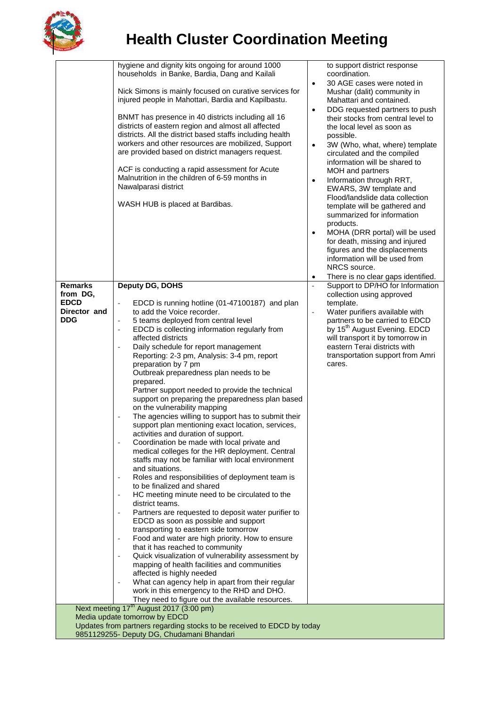

## **Health Cluster Coordination Meeting**

|                                                                                                                     | hygiene and dignity kits ongoing for around 1000<br>households in Banke, Bardia, Dang and Kailali                |           | to support district response<br>coordination.                                |  |  |  |
|---------------------------------------------------------------------------------------------------------------------|------------------------------------------------------------------------------------------------------------------|-----------|------------------------------------------------------------------------------|--|--|--|
|                                                                                                                     |                                                                                                                  | $\bullet$ | 30 AGE cases were noted in                                                   |  |  |  |
|                                                                                                                     | Nick Simons is mainly focused on curative services for                                                           |           | Mushar (dalit) community in                                                  |  |  |  |
|                                                                                                                     | injured people in Mahottari, Bardia and Kapilbastu.                                                              |           | Mahattari and contained.                                                     |  |  |  |
|                                                                                                                     |                                                                                                                  | $\bullet$ | DDG requested partners to push                                               |  |  |  |
|                                                                                                                     | BNMT has presence in 40 districts including all 16                                                               |           | their stocks from central level to                                           |  |  |  |
|                                                                                                                     | districts of eastern region and almost all affected<br>districts. All the district based staffs including health |           | the local level as soon as                                                   |  |  |  |
|                                                                                                                     | workers and other resources are mobilized, Support                                                               | $\bullet$ | possible.<br>3W (Who, what, where) template                                  |  |  |  |
|                                                                                                                     | are provided based on district managers request.                                                                 |           | circulated and the compiled                                                  |  |  |  |
|                                                                                                                     |                                                                                                                  |           | information will be shared to                                                |  |  |  |
|                                                                                                                     | ACF is conducting a rapid assessment for Acute                                                                   |           | MOH and partners                                                             |  |  |  |
|                                                                                                                     | Malnutrition in the children of 6-59 months in                                                                   | $\bullet$ | Information through RRT,                                                     |  |  |  |
|                                                                                                                     | Nawalparasi district                                                                                             |           | EWARS, 3W template and                                                       |  |  |  |
|                                                                                                                     | WASH HUB is placed at Bardibas.                                                                                  |           | Flood/landslide data collection<br>template will be gathered and             |  |  |  |
|                                                                                                                     |                                                                                                                  |           | summarized for information                                                   |  |  |  |
|                                                                                                                     |                                                                                                                  |           | products.                                                                    |  |  |  |
|                                                                                                                     |                                                                                                                  | $\bullet$ | MOHA (DRR portal) will be used                                               |  |  |  |
|                                                                                                                     |                                                                                                                  |           | for death, missing and injured                                               |  |  |  |
|                                                                                                                     |                                                                                                                  |           | figures and the displacements                                                |  |  |  |
|                                                                                                                     |                                                                                                                  |           | information will be used from                                                |  |  |  |
|                                                                                                                     |                                                                                                                  | $\bullet$ | NRCS source.<br>There is no clear gaps identified.                           |  |  |  |
| <b>Remarks</b>                                                                                                      | Deputy DG, DOHS                                                                                                  | $\sim$    | Support to DP/HO for Information                                             |  |  |  |
| from DG,                                                                                                            |                                                                                                                  |           | collection using approved                                                    |  |  |  |
| <b>EDCD</b>                                                                                                         | EDCD is running hotline (01-47100187) and plan<br>$\Box$                                                         |           | template.                                                                    |  |  |  |
| Director and                                                                                                        | to add the Voice recorder.                                                                                       | ÷,        | Water purifiers available with                                               |  |  |  |
| <b>DDG</b>                                                                                                          | 5 teams deployed from central level<br>$\overline{\phantom{a}}$                                                  |           | partners to be carried to EDCD                                               |  |  |  |
|                                                                                                                     | EDCD is collecting information regularly from<br>$\overline{\phantom{a}}$<br>affected districts                  |           | by 15 <sup>th</sup> August Evening. EDCD<br>will transport it by tomorrow in |  |  |  |
|                                                                                                                     | Daily schedule for report management                                                                             |           | eastern Terai districts with                                                 |  |  |  |
|                                                                                                                     | Reporting: 2-3 pm, Analysis: 3-4 pm, report                                                                      |           | transportation support from Amri                                             |  |  |  |
|                                                                                                                     | preparation by 7 pm                                                                                              |           | cares.                                                                       |  |  |  |
|                                                                                                                     | Outbreak preparedness plan needs to be                                                                           |           |                                                                              |  |  |  |
|                                                                                                                     | prepared.                                                                                                        |           |                                                                              |  |  |  |
|                                                                                                                     | Partner support needed to provide the technical<br>support on preparing the preparedness plan based              |           |                                                                              |  |  |  |
|                                                                                                                     | on the vulnerability mapping                                                                                     |           |                                                                              |  |  |  |
|                                                                                                                     | The agencies willing to support has to submit their<br>$\blacksquare$                                            |           |                                                                              |  |  |  |
|                                                                                                                     | support plan mentioning exact location, services,                                                                |           |                                                                              |  |  |  |
|                                                                                                                     | activities and duration of support.                                                                              |           |                                                                              |  |  |  |
|                                                                                                                     | Coordination be made with local private and                                                                      |           |                                                                              |  |  |  |
|                                                                                                                     | medical colleges for the HR deployment. Central<br>staffs may not be familiar with local environment             |           |                                                                              |  |  |  |
|                                                                                                                     | and situations.                                                                                                  |           |                                                                              |  |  |  |
|                                                                                                                     | Roles and responsibilities of deployment team is<br>$\blacksquare$                                               |           |                                                                              |  |  |  |
|                                                                                                                     | to be finalized and shared                                                                                       |           |                                                                              |  |  |  |
|                                                                                                                     | HC meeting minute need to be circulated to the                                                                   |           |                                                                              |  |  |  |
|                                                                                                                     | district teams.                                                                                                  |           |                                                                              |  |  |  |
|                                                                                                                     | Partners are requested to deposit water purifier to<br>EDCD as soon as possible and support                      |           |                                                                              |  |  |  |
|                                                                                                                     | transporting to eastern side tomorrow                                                                            |           |                                                                              |  |  |  |
|                                                                                                                     | Food and water are high priority. How to ensure<br>$\overline{\phantom{a}}$                                      |           |                                                                              |  |  |  |
|                                                                                                                     | that it has reached to community                                                                                 |           |                                                                              |  |  |  |
|                                                                                                                     | Quick visualization of vulnerability assessment by<br>$\overline{\phantom{a}}$                                   |           |                                                                              |  |  |  |
|                                                                                                                     | mapping of health facilities and communities                                                                     |           |                                                                              |  |  |  |
|                                                                                                                     | affected is highly needed<br>What can agency help in apart from their regular<br>$\overline{\phantom{a}}$        |           |                                                                              |  |  |  |
|                                                                                                                     | work in this emergency to the RHD and DHO.                                                                       |           |                                                                              |  |  |  |
|                                                                                                                     | They need to figure out the available resources.                                                                 |           |                                                                              |  |  |  |
| Next meeting 17 <sup>th</sup> August 2017 (3:00 pm)                                                                 |                                                                                                                  |           |                                                                              |  |  |  |
|                                                                                                                     | Media update tomorrow by EDCD                                                                                    |           |                                                                              |  |  |  |
| Updates from partners regarding stocks to be received to EDCD by today<br>9851129255- Deputy DG, Chudamani Bhandari |                                                                                                                  |           |                                                                              |  |  |  |
|                                                                                                                     |                                                                                                                  |           |                                                                              |  |  |  |